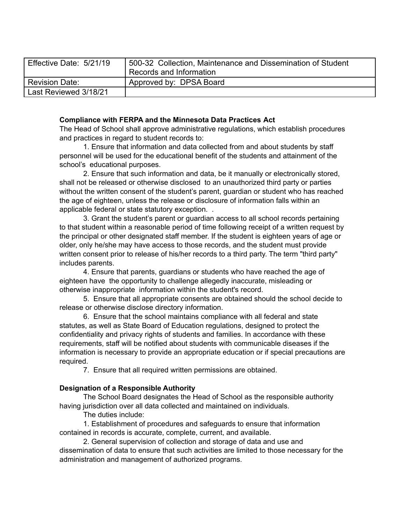| Effective Date: 5/21/19 | 500-32 Collection, Maintenance and Dissemination of Student<br>Records and Information |
|-------------------------|----------------------------------------------------------------------------------------|
| <b>Revision Date:</b>   | Approved by: DPSA Board                                                                |
| Last Reviewed 3/18/21   |                                                                                        |

## **Compliance with FERPA and the Minnesota Data Practices Act**

The Head of School shall approve administrative regulations, which establish procedures and practices in regard to student records to:

1. Ensure that information and data collected from and about students by staff personnel will be used for the educational benefit of the students and attainment of the school's educational purposes.

2. Ensure that such information and data, be it manually or electronically stored, shall not be released or otherwise disclosed to an unauthorized third party or parties without the written consent of the student's parent, guardian or student who has reached the age of eighteen, unless the release or disclosure of information falls within an applicable federal or state statutory exception. .

3. Grant the student's parent or guardian access to all school records pertaining to that student within a reasonable period of time following receipt of a written request by the principal or other designated staff member. If the student is eighteen years of age or older, only he/she may have access to those records, and the student must provide written consent prior to release of his/her records to a third party. The term "third party" includes parents.

4. Ensure that parents, guardians or students who have reached the age of eighteen have the opportunity to challenge allegedly inaccurate, misleading or otherwise inappropriate information within the student's record.

5. Ensure that all appropriate consents are obtained should the school decide to release or otherwise disclose directory information.

6. Ensure that the school maintains compliance with all federal and state statutes, as well as State Board of Education regulations, designed to protect the confidentiality and privacy rights of students and families. In accordance with these requirements, staff will be notified about students with communicable diseases if the information is necessary to provide an appropriate education or if special precautions are required.

7. Ensure that all required written permissions are obtained.

## **Designation of a Responsible Authority**

The School Board designates the Head of School as the responsible authority having jurisdiction over all data collected and maintained on individuals.

The duties include:

1. Establishment of procedures and safeguards to ensure that information contained in records is accurate, complete, current, and available.

2. General supervision of collection and storage of data and use and dissemination of data to ensure that such activities are limited to those necessary for the administration and management of authorized programs.